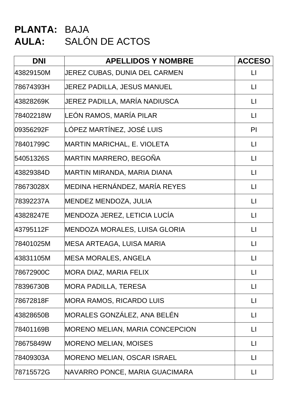# **PLANTA:** BAJA **AULA:** SALÓN DE ACTOS

| <b>DNI</b> | <b>APELLIDOS Y NOMBRE</b>              | <b>ACCESO</b>          |
|------------|----------------------------------------|------------------------|
| 43829150M  | JEREZ CUBAS, DUNIA DEL CARMEN          | $\mathsf{L}\mathsf{L}$ |
| 78674393H  | JEREZ PADILLA, JESUS MANUEL            | $\sqcup$               |
| 43828269K  | JEREZ PADILLA, MARÍA NADIUSCA          | П                      |
| 78402218W  | LEÓN RAMOS, MARÍA PILAR                | $\lfloor \rfloor$      |
| 09356292F  | LÓPEZ MARTÍNEZ, JOSÉ LUIS              | PI                     |
| 78401799C  | <b>MARTIN MARICHAL, E. VIOLETA</b>     | $\Box$                 |
| 54051326S  | MARTIN MARRERO, BEGOÑA                 | $\Box$                 |
| 43829384D  | MARTIN MIRANDA, MARIA DIANA            | $\lfloor \rfloor$      |
| 78673028X  | MEDINA HERNÁNDEZ, MARÍA REYES          | $\lfloor \rfloor$      |
| 78392237A  | MENDEZ MENDOZA, JULIA                  | $\lfloor \rfloor$      |
| 43828247E  | MENDOZA JEREZ, LETICIA LUCÍA           | $\mathsf{L}\mathsf{L}$ |
| 43795112F  | MENDOZA MORALES, LUISA GLORIA          | $\mathsf{L}$           |
| 78401025M  | MESA ARTEAGA, LUISA MARIA              | $\lfloor \rfloor$      |
| 43831105M  | <b>MESA MORALES, ANGELA</b>            | $\mathsf{L}$           |
| 78672900C  | MORA DIAZ, MARIA FELIX                 | LI                     |
| 78396730B  | <b>MORA PADILLA, TERESA</b>            | $\mathsf{L}\mathsf{L}$ |
| 78672818F  | <b>MORA RAMOS, RICARDO LUIS</b>        | $\Box$                 |
| 43828650B  | MORALES GONZÁLEZ, ANA BELÉN            | $\Box$                 |
| 78401169B  | <b>MORENO MELIAN, MARIA CONCEPCION</b> | $\Box$                 |
| 78675849W  | <b>MORENO MELIAN, MOISES</b>           | $\lfloor \rfloor$      |
| 78409303A  | <b>MORENO MELIAN, OSCAR ISRAEL</b>     | $\lfloor \rfloor$      |
| 78715572G  | NAVARRO PONCE, MARIA GUACIMARA         | $\Box$                 |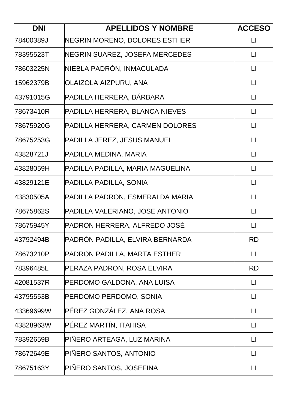| <b>DNI</b> | <b>APELLIDOS Y NOMBRE</b>        | <b>ACCESO</b>          |
|------------|----------------------------------|------------------------|
| 78400389J  | NEGRIN MORENO, DOLORES ESTHER    | $\lfloor \rfloor$      |
| 78395523T  | NEGRIN SUAREZ, JOSEFA MERCEDES   | $\Box$                 |
| 78603225N  | NIEBLA PADRÓN, INMACULADA        | $\lfloor \rfloor$      |
| 15962379B  | OLAIZOLA AIZPURU, ANA            | $\lfloor \rfloor$      |
| 43791015G  | PADILLA HERRERA, BÁRBARA         | $\lfloor \rfloor$      |
| 78673410R  | PADILLA HERRERA, BLANCA NIEVES   | $\Box$                 |
| 78675920G  | PADILLA HERRERA, CARMEN DOLORES  | $\Box$                 |
| 78675253G  | PADILLA JEREZ, JESUS MANUEL      | $\lfloor \rfloor$      |
| 43828721J  | PADILLA MEDINA, MARIA            | $\mathsf{L}\mathsf{I}$ |
| 43828059H  | PADILLA PADILLA, MARIA MAGUELINA | $\lfloor \rfloor$      |
| 43829121E  | PADILLA PADILLA, SONIA           | $\mathsf{L}\mathsf{L}$ |
| 43830505A  | PADILLA PADRON, ESMERALDA MARIA  | $\lfloor \rfloor$      |
| 78675862S  | PADILLA VALERIANO, JOSE ANTONIO  | $\mathsf{L}\mathsf{L}$ |
| 78675945Y  | PADRÓN HERRERA, ALFREDO JOSÉ     | $\Box$                 |
| 43792494B  | PADRÓN PADILLA, ELVIRA BERNARDA  | <b>RD</b>              |
| 78673210P  | PADRON PADILLA, MARTA ESTHER     | $\lfloor \rfloor$      |
| 78396485L  | PERAZA PADRON, ROSA ELVIRA       | <b>RD</b>              |
| 42081537R  | PERDOMO GALDONA, ANA LUISA       | $\lfloor \rfloor$      |
| 43795553B  | PERDOMO PERDOMO, SONIA           | $\lfloor \rfloor$      |
| 43369699W  | PÉREZ GONZÁLEZ, ANA ROSA         | $\Box$                 |
| 43828963W  | PÉREZ MARTÍN, ITAHISA            | $\Box$                 |
| 78392659B  | PIÑERO ARTEAGA, LUZ MARINA       | $\lfloor \rfloor$      |
| 78672649E  | PIÑERO SANTOS, ANTONIO           | $\lfloor \rfloor$      |
| 78675163Y  | PIÑERO SANTOS, JOSEFINA          | П                      |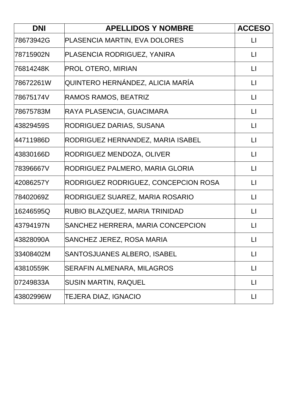| <b>DNI</b> | <b>APELLIDOS Y NOMBRE</b>            | <b>ACCESO</b>     |
|------------|--------------------------------------|-------------------|
| 78673942G  | PLASENCIA MARTIN, EVA DOLORES        | $\lfloor \rfloor$ |
| 78715902N  | PLASENCIA RODRIGUEZ, YANIRA          | $\mathsf{L}$      |
| 76814248K  | <b>PROL OTERO, MIRIAN</b>            | $\mathsf{L}$      |
| 78672261W  | QUINTERO HERNÁNDEZ, ALICIA MARÍA     | $\lfloor \rfloor$ |
| 78675174V  | RAMOS RAMOS, BEATRIZ                 | $\mathsf{L}$      |
| 78675783M  | RAYA PLASENCIA, GUACIMARA            | $\mathsf{L}$      |
| 43829459S  | RODRIGUEZ DARIAS, SUSANA             | $\lfloor \rfloor$ |
| 44711986D  | RODRIGUEZ HERNANDEZ, MARIA ISABEL    | $\lfloor \rfloor$ |
| 43830166D  | RODRIGUEZ MENDOZA, OLIVER            | $\lfloor \rfloor$ |
| 78396667V  | RODRIGUEZ PALMERO, MARIA GLORIA      | $\lfloor \rfloor$ |
| 42086257Y  | RODRIGUEZ RODRIGUEZ, CONCEPCION ROSA | $\mathsf{L}$      |
| 78402069Z  | RODRIGUEZ SUAREZ, MARIA ROSARIO      | $\lfloor \rfloor$ |
| 16246595Q  | RUBIO BLAZQUEZ, MARIA TRINIDAD       | $\lfloor \rfloor$ |
| 43794197N  | SANCHEZ HERRERA, MARIA CONCEPCION    | $\mathsf{L}$      |
| 43828090A  | SANCHEZ JEREZ, ROSA MARIA            | $\Box$            |
| 33408402M  | SANTOSJUANES ALBERO, ISABEL          | LI                |
| 43810559K  | <b>SERAFIN ALMENARA, MILAGROS</b>    | П                 |
| 07249833A  | <b>SUSIN MARTIN, RAQUEL</b>          | П                 |
| 43802996W  | TEJERA DIAZ, IGNACIO                 | П                 |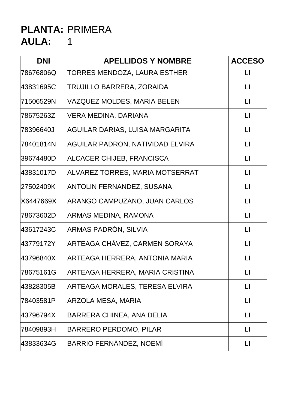| <b>DNI</b> | <b>APELLIDOS Y NOMBRE</b>        | <b>ACCESO</b>          |
|------------|----------------------------------|------------------------|
| 78676806Q  | TORRES MENDOZA, LAURA ESTHER     | $\sqcup$               |
| 43831695C  | <b>TRUJILLO BARRERA, ZORAIDA</b> | $\Box$                 |
| 71506529N  | VAZQUEZ MOLDES, MARIA BELEN      | $\lfloor \rfloor$      |
| 78675263Z  | VERA MEDINA, DARIANA             | $\Box$                 |
| 78396640J  | AGUILAR DARIAS, LUISA MARGARITA  | $\lfloor \rfloor$      |
| 78401814N  | AGUILAR PADRON, NATIVIDAD ELVIRA | $\Box$                 |
| 39674480D  | ALCACER CHIJEB, FRANCISCA        | $\sqcup$               |
| 43831017D  | ALVAREZ TORRES, MARIA MOTSERRAT  | $\mathsf{L}\mathsf{I}$ |
| 27502409K  | <b>ANTOLIN FERNANDEZ, SUSANA</b> | $\mathsf{L}$           |
| X6447669X  | ARANGO CAMPUZANO, JUAN CARLOS    | $\Box$                 |
| 78673602D  | ARMAS MEDINA, RAMONA             | $\lfloor \rfloor$      |
| 43617243C  | ARMAS PADRÓN, SILVIA             | $\Box$                 |
| 43779172Y  | ARTEAGA CHÁVEZ, CARMEN SORAYA    | $\lfloor \rfloor$      |
| 43796840X  | ARTEAGA HERRERA, ANTONIA MARIA   | $\Box$                 |
| 78675161G  | ARTEAGA HERRERA, MARIA CRISTINA  | П                      |
| 43828305B  | ARTEAGA MORALES, TERESA ELVIRA   | $\sqcup$               |
| 78403581P  | ARZOLA MESA, MARIA               | $\lfloor \rfloor$      |
| 43796794X  | <b>BARRERA CHINEA, ANA DELIA</b> | $\mathsf{L}$           |
| 78409893H  | <b>BARRERO PERDOMO, PILAR</b>    | $\lfloor \rfloor$      |
| 43833634G  | BARRIO FERNÁNDEZ, NOEMÍ          | П                      |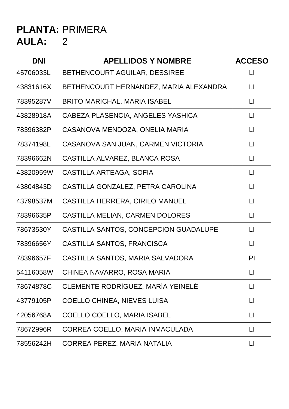| <b>DNI</b> | <b>APELLIDOS Y NOMBRE</b>              | <b>ACCESO</b>          |
|------------|----------------------------------------|------------------------|
| 45706033L  | BETHENCOURT AGUILAR, DESSIREE          | $\sqcup$               |
| 43831616X  | BETHENCOURT HERNANDEZ, MARIA ALEXANDRA | LI                     |
| 78395287V  | BRITO MARICHAL, MARIA ISABEL           | $\mathsf{L}$           |
| 43828918A  | CABEZA PLASENCIA, ANGELES YASHICA      | $\mathsf{L}$           |
| 78396382P  | CASANOVA MENDOZA, ONELIA MARIA         | $\lfloor \rfloor$      |
| 78374198L  | CASANOVA SAN JUAN, CARMEN VICTORIA     | $\mathsf{L}$           |
| 78396662N  | CASTILLA ALVAREZ, BLANCA ROSA          | $\lfloor \rfloor$      |
| 43820959W  | CASTILLA ARTEAGA, SOFIA                | $\lfloor \rfloor$      |
| 43804843D  | CASTILLA GONZALEZ, PETRA CAROLINA      | $\Box$                 |
| 43798537M  | CASTILLA HERRERA, CIRILO MANUEL        | $\mathsf{L}$           |
| 78396635P  | CASTILLA MELIAN, CARMEN DOLORES        | $\lfloor \rfloor$      |
| 78673530Y  | CASTILLA SANTOS, CONCEPCION GUADALUPE  | $\mathsf{L}$           |
| 78396656Y  | CASTILLA SANTOS, FRANCISCA             | $\mathsf{L}\mathsf{L}$ |
| 78396657F  | CASTILLA SANTOS, MARIA SALVADORA       | P <sub>l</sub>         |
| 54116058W  | CHINEA NAVARRO, ROSA MARIA             | $\Box$                 |
| 78674878C  | CLEMENTE RODRÍGUEZ, MARÍA YEINELÉ      | $\mathsf{L}\mathsf{L}$ |
| 43779105P  | <b>COELLO CHINEA, NIEVES LUISA</b>     | $\mathsf{L}$           |
| 42056768A  | COELLO COELLO, MARIA ISABEL            | $\lfloor \rfloor$      |
| 78672996R  | CORREA COELLO, MARIA INMACULADA        | LI                     |
| 78556242H  | CORREA PEREZ, MARIA NATALIA            | LI                     |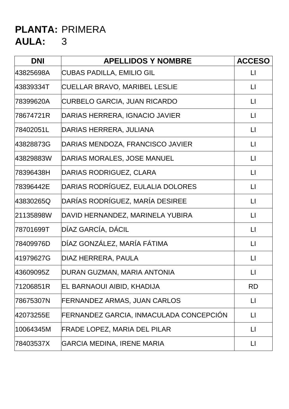| <b>DNI</b> | <b>APELLIDOS Y NOMBRE</b>               | <b>ACCESO</b>     |
|------------|-----------------------------------------|-------------------|
| 43825698A  | <b>CUBAS PADILLA, EMILIO GIL</b>        | $\lfloor \rfloor$ |
| 43839334T  | CUELLAR BRAVO, MARIBEL LESLIE           | $\lfloor \rfloor$ |
| 78399620A  | <b>CURBELO GARCIA, JUAN RICARDO</b>     | $\lfloor \rfloor$ |
| 78674721R  | DARIAS HERRERA, IGNACIO JAVIER          | $\lfloor \rfloor$ |
| 78402051L  | DARIAS HERRERA, JULIANA                 | $\Box$            |
| 43828873G  | DARIAS MENDOZA, FRANCISCO JAVIER        | $\lfloor \rfloor$ |
| 43829883W  | DARIAS MORALES, JOSE MANUEL             | $\lfloor \rfloor$ |
| 78396438H  | DARIAS RODRIGUEZ, CLARA                 | $\lfloor \rfloor$ |
| 78396442E  | DARIAS RODRÍGUEZ, EULALIA DOLORES       | $\lfloor \rfloor$ |
| 43830265Q  | DARÍAS RODRÍGUEZ, MARÍA DESIREE         | $\lfloor \rfloor$ |
| 21135898W  | DAVID HERNANDEZ, MARINELA YUBIRA        | $\lfloor \rfloor$ |
| 78701699T  | DÍAZ GARCÍA, DÁCIL                      | $\lfloor \rfloor$ |
| 78409976D  | DÍAZ GONZÁLEZ, MARÍA FÁTIMA             | $\lfloor \rfloor$ |
| 41979627G  | DIAZ HERRERA, PAULA                     | $\Box$            |
| 43609095Z  | DURAN GUZMAN, MARIA ANTONIA             | $\Box$            |
| 71206851R  | EL BARNAOUI AIBID, KHADIJA              | <b>RD</b>         |
| 78675307N  | FERNANDEZ ARMAS, JUAN CARLOS            | $\lfloor \rfloor$ |
| 42073255E  | FERNANDEZ GARCIA, INMACULADA CONCEPCIÓN | $\lfloor \rfloor$ |
| 10064345M  | <b>FRADE LOPEZ, MARIA DEL PILAR</b>     | $\lfloor \rfloor$ |
| 78403537X  | <b>GARCIA MEDINA, IRENE MARIA</b>       | $\lfloor \rfloor$ |